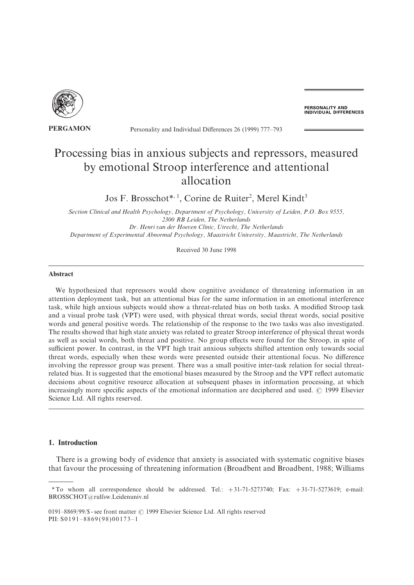

**PERSONALITY AND<br>INDIVIDUAL DIFFERENCES** 

# **PERGAMON** Personality and Individual Differences 26 (1999) 777–793

# Processing bias in anxious subjects and repressors, measured by emotional Stroop interference and attentional allocation

Jos F. Brosschot\*,<sup>1</sup>, Corine de Ruiter<sup>2</sup>, Merel Kindt<sup>3</sup>

Section Clinical and Health Psychology, Department of Psychology, University of Leiden, P.O. Box 9555, 2300 RB Leiden, The Netherlands Dr. Henri van der Hoeven Clinic, Utrecht, The Netherlands

Department of Experimental Abnormal Psychology, Maastricht University, Maastricht, The Netherlands

Received 30 June 1998

#### Abstract

We hypothesized that repressors would show cognitive avoidance of threatening information in an attention deployment task\ but an attentional bias for the same information in an emotional interference task, while high anxious subjects would show a threat-related bias on both tasks. A modified Stroop task and a visual probe task (VPT) were used, with physical threat words, social threat words, social positive words and general positive words. The relationship of the response to the two tasks was also investigated. The results showed that high state anxiety was related to greater Stroop interference of physical threat words as well as social words, both threat and positive. No group effects were found for the Stroop, in spite of sufficient power. In contrast, in the VPT high trait anxious subjects shifted attention only towards social threat words, especially when these words were presented outside their attentional focus. No difference involving the repressor group was present. There was a small positive inter-task relation for social threatrelated bias. It is suggested that the emotional biases measured by the Stroop and the VPT reflect automatic decisions about cognitive resource allocation at subsequent phases in information processing, at which increasingly more specific aspects of the emotional information are deciphered and used. © 1999 Elsevier Science Ltd. All rights reserved.

# 1. Introduction

There is a growing body of evidence that anxiety is associated with systematic cognitive biases that favour the processing of threatening information (Broadbent and Broadbent, 1988; Williams

<sup>\*</sup> To whom all correspondence should be addressed. Tel.:  $+31-71-5273740$ ; Fax:  $+31-71-5273619$ ; e-mail: BROSSCHOT@rulfsw.Leidenuniv.nl

<sup>0191-8869/99/\$ -</sup> see front matter © 1999 Elsevier Science Ltd. All rights reserved PII:  $S0191 - 8869(98)00173 - 1$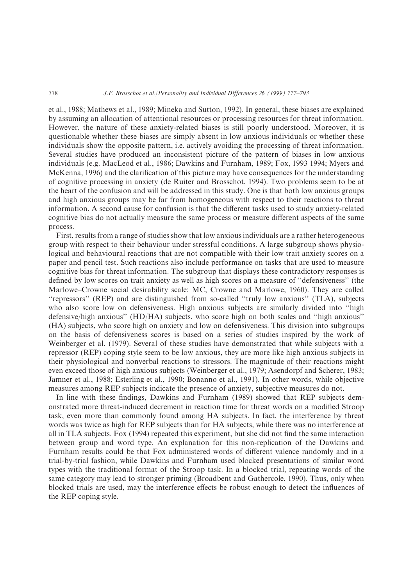et al., 1988; Mathews et al., 1989; Mineka and Sutton, 1992). In general, these biases are explained by assuming an allocation of attentional resources or processing resources for threat information. However, the nature of these anxiety-related biases is still poorly understood. Moreover, it is questionable whether these biases are simply absent in low anxious individuals or whether these individuals show the opposite pattern, i.e. actively avoiding the processing of threat information. Several studies have produced an inconsistent picture of the pattern of biases in low anxious individuals (e.g. MacLeod et al., 1986; Dawkins and Furnham, 1989; Fox, 1993 1994; Myers and McKenna, 1996) and the clarification of this picture may have consequences for the understanding of cognitive processing in anxiety (de Ruiter and Brosschot, 1994). Two problems seem to be at the heart of the confusion and will be addressed in this study. One is that both low anxious groups and high anxious groups may be far from homogeneous with respect to their reactions to threat information. A second cause for confusion is that the different tasks used to study anxiety-related cognitive bias do not actually measure the same process or measure different aspects of the same process.

First, results from a range of studies show that low anxious individuals are a rather heterogeneous group with respect to their behaviour under stressful conditions. A large subgroup shows physiological and behavioural reactions that are not compatible with their low trait anxiety scores on a paper and pencil test. Such reactions also include performance on tasks that are used to measure cognitive bias for threat information. The subgroup that displays these contradictory responses is defined by low scores on trait anxiety as well as high scores on a measure of "defensiveness" (the Marlowe–Crowne social desirability scale: MC, Crowne and Marlowe, 1960). They are called "repressors" (REP) and are distinguished from so-called "truly low anxious" (TLA), subjects who also score low on defensiveness. High anxious subjects are similarly divided into "high  $defensive/high$  anxious" (HD/HA) subjects, who score high on both scales and "high anxious" (HA) subjects, who score high on anxiety and low on defensiveness. This division into subgroups on the basis of defensiveness scores is based on a series of studies inspired by the work of Weinberger et al. (1979). Several of these studies have demonstrated that while subjects with a repressor (REP) coping style seem to be low anxious, they are more like high anxious subjects in their physiological and nonverbal reactions to stressors[ The magnitude of their reactions might even exceed those of high anxious subjects (Weinberger et al., 1979; Asendorpf and Scherer, 1983; Jamner et al., 1988; Esterling et al., 1990; Bonanno et al., 1991). In other words, while objective measures among REP subjects indicate the presence of anxiety, subjective measures do not.

In line with these findings, Dawkins and Furnham (1989) showed that REP subjects demonstrated more threat-induced decrement in reaction time for threat words on a modified Stroop task, even more than commonly found among HA subjects. In fact, the interference by threat words was twice as high for REP subjects than for HA subjects, while there was no interference at all in TLA subjects. Fox (1994) repeated this experiment, but she did not find the same interaction between group and word type. An explanation for this non-replication of the Dawkins and Furnham results could be that Fox administered words of different valence randomly and in a trial-by-trial fashion, while Dawkins and Furnham used blocked presentations of similar word types with the traditional format of the Stroop task. In a blocked trial, repeating words of the same category may lead to stronger priming (Broadbent and Gathercole, 1990). Thus, only when blocked trials are used, may the interference effects be robust enough to detect the influences of the REP coping style.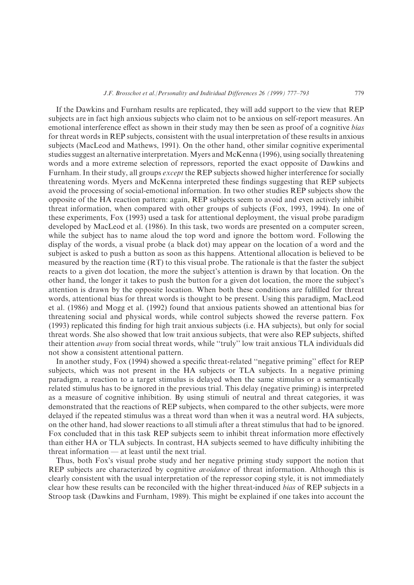If the Dawkins and Furnham results are replicated\ they will add support to the view that REP subjects are in fact high anxious subjects who claim not to be anxious on self-report measures. An emotional interference effect as shown in their study may then be seen as proof of a cognitive bias for threat words in REP subjects, consistent with the usual interpretation of these results in anxious subjects (MacLeod and Mathews, 1991). On the other hand, other similar cognitive experimental studies suggest an alternative interpretation. Myers and McKenna (1996), using socially threatening words and a more extreme selection of repressors\ reported the exact opposite of Dawkins and Furnham. In their study, all groups *except* the REP subjects showed higher interference for socially threatening words. Myers and McKenna interpreted these findings suggesting that REP subjects avoid the processing of social-emotional information. In two other studies REP subjects show the opposite of the HA reaction pattern: again, REP subjects seem to avoid and even actively inhibit threat information, when compared with other groups of subjects  $(Fox, 1993, 1994)$ . In one of these experiments, Fox (1993) used a task for attentional deployment, the visual probe paradigm developed by MacLeod et al. (1986). In this task, two words are presented on a computer screen, while the subject has to name aloud the top word and ignore the bottom word. Following the display of the words, a visual probe (a black dot) may appear on the location of a word and the subject is asked to push a button as soon as this happens. Attentional allocation is believed to be measured by the reaction time  $(RT)$  to this visual probe. The rationale is that the faster the subject reacts to a given dot location, the more the subject's attention is drawn by that location. On the other hand, the longer it takes to push the button for a given dot location, the more the subject's attention is drawn by the opposite location. When both these conditions are fulfilled for threat words, attentional bias for threat words is thought to be present. Using this paradigm, MacLeod et al. (1986) and Mogg et al. (1992) found that anxious patients showed an attentional bias for threatening social and physical words, while control subjects showed the reverse pattern. Fox  $(1993)$  replicated this finding for high trait anxious subjects  $(i.e. HA$  subjects), but only for social threat words. She also showed that low trait anxious subjects, that were also REP subjects, shifted their attention away from social threat words, while "truly" low trait anxious TLA individuals did not show a consistent attentional pattern.

In another study, Fox (1994) showed a specific threat-related "negative priming" effect for REP subjects, which was not present in the HA subjects or TLA subjects. In a negative priming paradigm\ a reaction to a target stimulus is delayed when the same stimulus or a semantically related stimulus has to be ignored in the previous trial. This delay (negative priming) is interpreted as a measure of cognitive inhibition. By using stimuli of neutral and threat categories, it was demonstrated that the reactions of REP subjects, when compared to the other subjects, were more delayed if the repeated stimulus was a threat word than when it was a neutral word. HA subjects, on the other hand, had slower reactions to all stimuli after a threat stimulus that had to be ignored. Fox concluded that in this task REP subjects seem to inhibit threat information more effectively than either HA or TLA subjects. In contrast, HA subjects seemed to have difficulty inhibiting the threat information  $-$  at least until the next trial.

Thus, both Fox's visual probe study and her negative priming study support the notion that REP subjects are characterized by cognitive *avoidance* of threat information. Although this is clearly consistent with the usual interpretation of the repressor coping style, it is not immediately clear how these results can be reconciled with the higher threat-induced *bias* of REP subjects in a Stroop task (Dawkins and Furnham, 1989). This might be explained if one takes into account the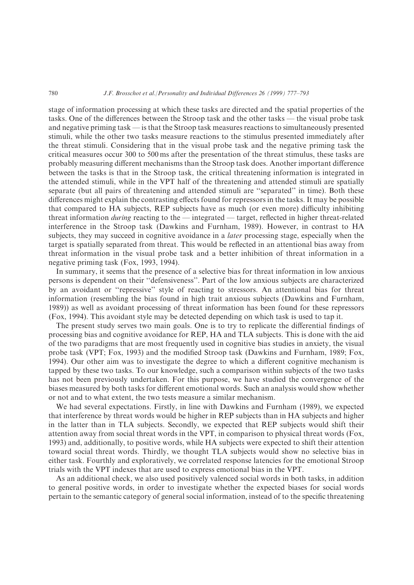stage of information processing at which these tasks are directed and the spatial properties of the tasks. One of the differences between the Stroop task and the other tasks — the visual probe task and negative priming task — is that the Stroop task measures reactions to simultaneously presented stimuli, while the other two tasks measure reactions to the stimulus presented immediately after the threat stimuli. Considering that in the visual probe task and the negative priming task the critical measures occur 300 to 500 ms after the presentation of the threat stimulus, these tasks are probably measuring different mechanisms than the Stroop task does. Another important difference between the tasks is that in the Stroop task, the critical threatening information is integrated in the attended stimuli\ while in the VPT half of the threatening and attended stimuli are spatially separate (but all pairs of threatening and attended stimuli are "separated" in time). Both these differences might explain the contrasting effects found for repressors in the tasks. It may be possible that compared to HA subjects, REP subjects have as much (or even more) difficulty inhibiting threat information *during* reacting to the  $-$  integrated  $-$  target, reflected in higher threat-related interference in the Stroop task (Dawkins and Furnham, 1989). However, in contrast to HA subjects, they may succeed in cognitive avoidance in a *later* processing stage, especially when the target is spatially separated from threat. This would be reflected in an attentional bias away from threat information in the visual probe task and a better inhibition of threat information in a negative priming task  $(Fox, 1993, 1994)$ .

In summary, it seems that the presence of a selective bias for threat information in low anxious persons is dependent on their "defensiveness". Part of the low anxious subjects are characterized by an avoidant or "repressive" style of reacting to stressors. An attentional bias for threat information (resembling the bias found in high trait anxious subjects (Dawkins and Furnham, 1989)) as well as avoidant processing of threat information has been found for these repressors  $(Fox, 1994)$ . This avoidant style may be detected depending on which task is used to tap it.

The present study serves two main goals. One is to try to replicate the differential findings of processing bias and cognitive avoidance for REP, HA and TLA subjects. This is done with the aid of the two paradigms that are most frequently used in cognitive bias studies in anxiety, the visual probe task (VPT; Fox, 1993) and the modified Stroop task (Dawkins and Furnham, 1989; Fox, 1994). Our other aim was to investigate the degree to which a different cognitive mechanism is tapped by these two tasks. To our knowledge, such a comparison within subjects of the two tasks has not been previously undertaken. For this purpose, we have studied the convergence of the biases measured by both tasks for different emotional words. Such an analysis would show whether or not and to what extent, the two tests measure a similar mechanism.

We had several expectations. Firstly, in line with Dawkins and Furnham  $(1989)$ , we expected that interference by threat words would be higher in REP subjects than in HA subjects and higher in the latter than in TLA subjects. Secondly, we expected that REP subjects would shift their attention away from social threat words in the VPT, in comparison to physical threat words  $(Fox,$ 1993) and, additionally, to positive words, while HA subjects were expected to shift their attention toward social threat words. Thirdly, we thought TLA subjects would show no selective bias in either task. Fourthly and exploratively, we correlated response latencies for the emotional Stroop trials with the VPT indexes that are used to express emotional bias in the VPT.

As an additional check, we also used positively valenced social words in both tasks, in addition to general positive words, in order to investigate whether the expected biases for social words pertain to the semantic category of general social information, instead of to the specific threatening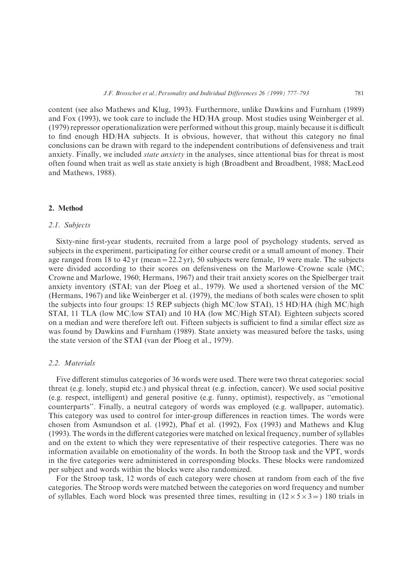content (see also Mathews and Klug, 1993). Furthermore, unlike Dawkins and Furnham (1989) and Fox  $(1993)$ , we took care to include the HD/HA group. Most studies using Weinberger et al.  $(1979)$  repressor operationalization were performed without this group, mainly because it is difficult to find enough  $HD/HA$  subjects. It is obvious, however, that without this category no final conclusions can be drawn with regard to the independent contributions of defensiveness and trait anxiety. Finally, we included *state anxiety* in the analyses, since attentional bias for threat is most often found when trait as well as state anxiety is high (Broadbent and Broadbent, 1988; MacLeod and Mathews, 1988).

## 2. Method

# 2.1. Subjects

Sixty-nine first-year students, recruited from a large pool of psychology students, served as subjects in the experiment, participating for either course credit or a small amount of money. Their age ranged from 18 to 42 yr (mean =  $22.2$  yr), 50 subjects were female, 19 were male. The subjects were divided according to their scores on defensiveness on the Marlowe–Crowne scale  $(MC^{\dagger})$ Crowne and Marlowe, 1960; Hermans, 1967) and their trait anxiety scores on the Spielberger trait anxiety inventory (STAI; van der Ploeg et al., 1979). We used a shortened version of the MC (Hermans, 1967) and like Weinberger et al.  $(1979)$ , the medians of both scales were chosen to split the subjects into four groups: 15 REP subjects (high MC/low STAI), 15 HD/HA (high MC/high STAI, 11 TLA (low MC/low STAI) and 10 HA (low MC/High STAI). Eighteen subjects scored on a median and were therefore left out. Fifteen subjects is sufficient to find a similar effect size as was found by Dawkins and Furnham (1989). State anxiety was measured before the tasks, using the state version of the STAI (van der Ploeg et al., 1979).

## 2.2. Materials

Five different stimulus categories of 36 words were used. There were two threat categories: social threat (e.g. lonely, stupid etc.) and physical threat (e.g. infection, cancer). We used social positive  $(e.g., respect, intelligent)$  and general positive  $(e.g., funny, optimist)$ , respectively, as "emotional counterparts". Finally, a neutral category of words was employed (e.g. wallpaper, automatic). This category was used to control for inter-group differences in reaction times. The words were chosen from Asmundson et al.  $(1992)$ , Phaf et al.  $(1992)$ , Fox  $(1993)$  and Mathews and Klug  $(1993)$ . The words in the different categories were matched on lexical frequency, number of syllables and on the extent to which they were representative of their respective categories. There was no information available on emotionality of the words. In both the Stroop task and the VPT, words in the five categories were administered in corresponding blocks. These blocks were randomized per subject and words within the blocks were also randomized.

For the Stroop task, 12 words of each category were chosen at random from each of the five categories. The Stroop words were matched between the categories on word frequency and number of syllables. Each word block was presented three times, resulting in  $(12 \times 5 \times 3 = 0)$  180 trials in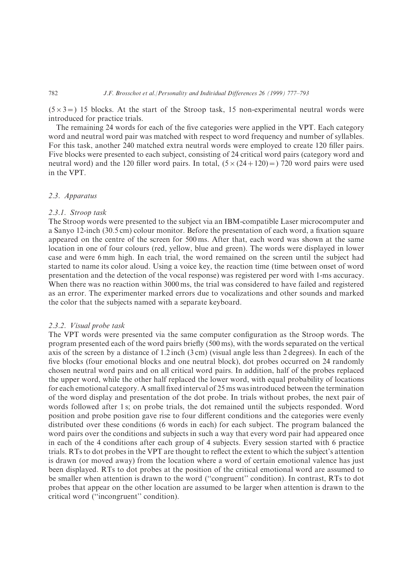$(5\times3=)$  15 blocks. At the start of the Stroop task, 15 non-experimental neutral words were introduced for practice trials.

The remaining 24 words for each of the five categories were applied in the VPT. Each category word and neutral word pair was matched with respect to word frequency and number of syllables. For this task, another 240 matched extra neutral words were employed to create 120 filler pairs. Five blocks were presented to each subject, consisting of 24 critical word pairs (category word and neutral word) and the 120 filler word pairs. In total,  $(5 \times (24 + 120)) = 720$  word pairs were used in the VPT.

# 2.3. Apparatus

#### 2.3.1. Stroop task

The Stroop words were presented to the subject via an IBM-compatible Laser microcomputer and a Sanyo 12-inch (30.5 cm) colour monitor. Before the presentation of each word, a fixation square appeared on the centre of the screen for 500 ms. After that, each word was shown at the same location in one of four colours (red, yellow, blue and green). The words were displayed in lower case and were 6 mm high. In each trial, the word remained on the screen until the subject had started to name its color aloud. Using a voice key, the reaction time (time between onset of word presentation and the detection of the vocal response) was registered per word with 1-ms accuracy. When there was no reaction within 3000 ms, the trial was considered to have failed and registered as an error. The experimenter marked errors due to vocalizations and other sounds and marked the color that the subjects named with a separate keyboard.

#### 2.3.2. Visual probe task

The VPT words were presented via the same computer configuration as the Stroop words. The program presented each of the word pairs briefly (500 ms), with the words separated on the vertical axis of the screen by a distance of 1.2 inch  $(3 \text{ cm})$  (visual angle less than 2 degrees). In each of the five blocks (four emotional blocks and one neutral block), dot probes occurred on 24 randomly chosen neutral word pairs and on all critical word pairs. In addition, half of the probes replaced the upper word, while the other half replaced the lower word, with equal probability of locations for each emotional category. A small fixed interval of 25 ms was introduced between the termination of the word display and presentation of the dot probe. In trials without probes, the next pair of words followed after 1 s; on probe trials, the dot remained until the subjects responded. Word position and probe position gave rise to four different conditions and the categories were evenly distributed over these conditions (6 words in each) for each subject. The program balanced the word pairs over the conditions and subjects in such a way that every word pair had appeared once in each of the 4 conditions after each group of 4 subjects. Every session started with 6 practice trials. RTs to dot probes in the VPT are thought to reflect the extent to which the subject's attention is drawn (or moved away) from the location where a word of certain emotional valence has just been displayed. RTs to dot probes at the position of the critical emotional word are assumed to be smaller when attention is drawn to the word ("congruent" condition). In contrast, RTs to dot probes that appear on the other location are assumed to be larger when attention is drawn to the critical word ("incongruent" condition).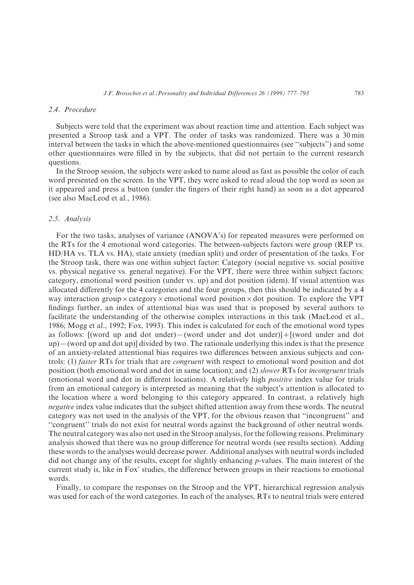# 2.4. Procedure

Subjects were told that the experiment was about reaction time and attention. Each subject was presented a Stroop task and a VPT. The order of tasks was randomized. There was a 30 min interval between the tasks in which the above-mentioned questionnaires (see "subjects") and some other questionnaires were filled in by the subjects, that did not pertain to the current research questions.

In the Stroop session, the subjects were asked to name aloud as fast as possible the color of each word presented on the screen. In the VPT, they were asked to read aloud the top word as soon as it appeared and press a button (under the fingers of their right hand) as soon as a dot appeared (see also MacLeod et al., 1986).

## 2.5. Analysis

For the two tasks, analyses of variance (ANOVA's) for repeated measures were performed on the RTs for the 4 emotional word categories. The between-subjects factors were group (REP vs. HD/HA vs. TLA vs. HA), state anxiety (median split) and order of presentation of the tasks. For the Stroop task, there was one within subject factor: Category (social negative vs. social positive vs. physical negative vs. general negative). For the VPT, there were three within subject factors: category, emotional word position (under vs. up) and dot position (idem). If visual attention was allocated differently for the 4 categories and the four groups, then this should be indicated by a  $4$ way interaction group  $\times$  category  $\times$  emotional word position  $\times$  dot position. To explore the VPT findings further, an index of attentional bias was used that is proposed by several authors to facilitate the understanding of the otherwise complex interactions in this task (MacLeod et al., 1986; Mogg et al., 1992; Fox, 1993). This index is calculated for each of the emotional word types as follows:  $[$ (word up and dot under $)$ − (word under and dot under) $]$ + $[$ (word under and dot  $up$  − (word up and dot up)] divided by two. The rationale underlying this index is that the presence of an anxiety-related attentional bias requires two differences between anxious subjects and controls: (1) *faster* RTs for trials that are *congruent* with respect to emotional word position and dot position (both emotional word and dot in same location); and  $(2)$  slower RTs for incongruent trials (emotional word and dot in different locations). A relatively high *positive* index value for trials from an emotional category is interpreted as meaning that the subject's attention is allocated to the location where a word belonging to this category appeared. In contrast, a relatively high negative index value indicates that the subject shifted attention away from these words. The neutral category was not used in the analysis of the VPT, for the obvious reason that "incongruent" and "congruent" trials do not exist for neutral words against the background of other neutral words. The neutral category was also not used in the Stroop analysis, for the following reasons. Preliminary analysis showed that there was no group difference for neutral words (see results section). Adding these words to the analyses would decrease power. Additional analyses with neutral words included did not change any of the results, except for slightly enhancing  $p$ -values. The main interest of the current study is, like in Fox' studies, the difference between groups in their reactions to emotional words.

Finally, to compare the responses on the Stroop and the VPT, hierarchical regression analysis was used for each of the word categories. In each of the analyses, RTs to neutral trials were entered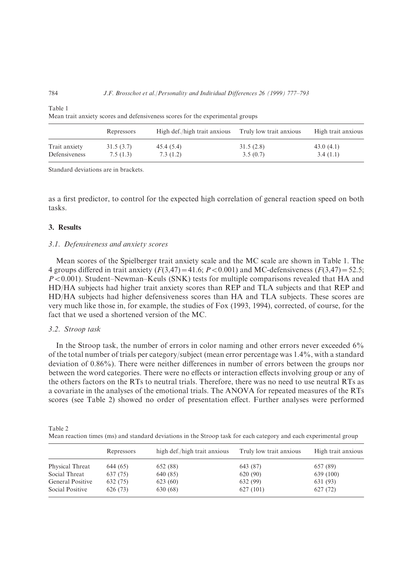| Mean trait anxiety scores and defensiveness scores for the experimental groups |                       |                              |                         |                       |  |
|--------------------------------------------------------------------------------|-----------------------|------------------------------|-------------------------|-----------------------|--|
|                                                                                | Repressors            | High def./high trait anxious | Truly low trait anxious | High trait anxious    |  |
| Trait anxiety<br>Defensiveness                                                 | 31.5(3.7)<br>7.5(1.3) | 45.4 (5.4)<br>7.3(1.2)       | 31.5(2.8)<br>3.5(0.7)   | 43.0(4.1)<br>3.4(1.1) |  |

Table 1 Mean trait anxiety scores and defensiveness scores for the experimental groups

Standard deviations are in brackets.

as a first predictor, to control for the expected high correlation of general reaction speed on both tasks.

## 3. Results

#### 3.1. Defensiveness and anxiety scores

Mean scores of the Spielberger trait anxiety scale and the MC scale are shown in Table 1. The 4 groups differed in trait anxiety  $(F(3,47) = 41.6; P < 0.001)$  and MC-defensiveness  $(F(3,47) = 52.5;$  $P < 0.001$ ). Student–Newman–Keuls (SNK) tests for multiple comparisons revealed that HA and HD:HA subjects had higher trait anxiety scores than REP and TLA subjects and that REP and HD/HA subjects had higher defensiveness scores than HA and TLA subjects. These scores are very much like those in, for example, the studies of Fox  $(1993, 1994)$ , corrected, of course, for the fact that we used a shortened version of the MC.

#### 3.2. Stroop task

In the Stroop task, the number of errors in color naming and other errors never exceeded  $6\%$ of the total number of trials per category/subject (mean error percentage was  $1.4\%$ , with a standard deviation of 0.86%). There were neither differences in number of errors between the groups nor between the word categories. There were no effects or interaction effects involving group or any of the others factors on the RTs to neutral trials. Therefore, there was no need to use neutral RTs as a covariate in the analyses of the emotional trials. The ANOVA for repeated measures of the RTs scores (see Table 2) showed no order of presentation effect. Further analyses were performed

| Table 2                                                                                                           |  |  |  |
|-------------------------------------------------------------------------------------------------------------------|--|--|--|
| Mean reaction times (ms) and standard deviations in the Stroop task for each category and each experimental group |  |  |  |

| Repressors | high def./high trait anxious | Truly low trait anxious | High trait anxious |
|------------|------------------------------|-------------------------|--------------------|
| 644 (65)   | 652 (88)                     | 643 (87)                | 657 (89)           |
| 637 (75)   | 640 (85)                     | 620 (90)                | 639 (100)          |
| 632 (75)   | 623 (60)                     | 632 (99)                | 631 (93)           |
| 626 (73)   | 630 (68)                     | 627(101)                | 627 (72)           |
|            |                              |                         |                    |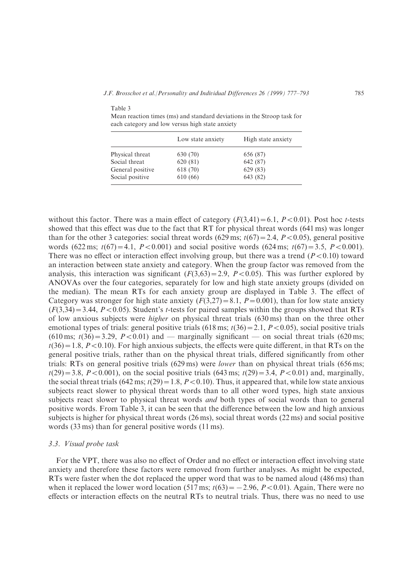J.F. Brosschot et al. Personality and Individual Differences 26 (1999) 777–793 6785

| cach category and fow versus ingh state anxiety |                   |                    |  |  |
|-------------------------------------------------|-------------------|--------------------|--|--|
|                                                 | Low state anxiety | High state anxiety |  |  |
| Physical threat                                 | 630 (70)          | 656 (87)           |  |  |
| Social threat                                   | 620 (81)          | 642 (87)           |  |  |
| General positive                                | 618 (70)          | 629 (83)           |  |  |
| Social positive                                 | 610 (66)          | 643 (82)           |  |  |

Mean reaction times (ms) and standard deviations in the Stroop task for each category and low versus high state anxiety

Table 3

without this factor. There was a main effect of category  $(F(3,41) = 6.1, P < 0.01)$ . Post hoc t-tests showed that this effect was due to the fact that RT for physical threat words  $(641 \text{ ms})$  was longer than for the other 3 categories: social threat words  $(629 \text{ ms}; t(67) = 2.4, P < 0.05)$ , general positive words  $(622 \text{ ms}; t(67) = 4.1, P < 0.001)$  and social positive words  $(624 \text{ ms}; t(67) = 3.5, P < 0.001)$ . There was no effect or interaction effect involving group, but there was a trend  $(P<0.10)$  toward an interaction between state anxiety and category. When the group factor was removed from the analysis, this interaction was significant  $(F(3,63) = 2.9, P < 0.05)$ . This was further explored by ANOVAs over the four categories, separately for low and high state anxiety groups (divided on the median). The mean RTs for each anxiety group are displayed in Table 3. The effect of Category was stronger for high state anxiety  $(F(3,27)=8.1, P=0.001)$ , than for low state anxiety  $(F(3.34) = 3.44, P < 0.05)$ . Student's t-tests for paired samples within the groups showed that RTs of low anxious subjects were *higher* on physical threat trials  $(630 \text{ ms})$  than on the three other emotional types of trials: general positive trials  $(618 \text{ ms}; t(36)=2.1, P<0.05)$ , social positive trials  $(610 \text{ ms}; t(36) = 3.29, P < 0.01)$  and  $-$  marginally significant  $-$  on social threat trials  $(620 \text{ ms};$  $t(36) = 1.8$ ,  $P < 0.10$ ). For high anxious subjects, the effects were quite different, in that RTs on the general positive trials, rather than on the physical threat trials, differed significantly from other trials: RTs on general positive trials  $(629 \text{ ms})$  were *lower* than on physical threat trials  $(656 \text{ ms})$ ;  $t(29)=3.8, P<0.001$ , on the social positive trials  $(643 \text{ ms}; t(29)=3.4, P<0.01)$  and, marginally, the social threat trials  $(642 \text{ ms}; t(29) = 1.8, P < 0.10)$ . Thus, it appeared that, while low state anxious subjects react slower to physical threat words than to all other word types, high state anxious subjects react slower to physical threat words *and* both types of social words than to general positive words. From Table 3, it can be seen that the difference between the low and high anxious subjects is higher for physical threat words (26 ms), social threat words (22 ms) and social positive words  $(33 \text{ ms})$  than for general positive words  $(11 \text{ ms})$ .

#### 3.3. Visual probe task

For the VPT, there was also no effect of Order and no effect or interaction effect involving state anxiety and therefore these factors were removed from further analyses. As might be expected, RTs were faster when the dot replaced the upper word that was to be named aloud (486 ms) than when it replaced the lower word location  $(517 \text{ ms}; t(63) = -2.96, P < 0.01)$ . Again, There were no effects or interaction effects on the neutral RTs to neutral trials. Thus, there was no need to use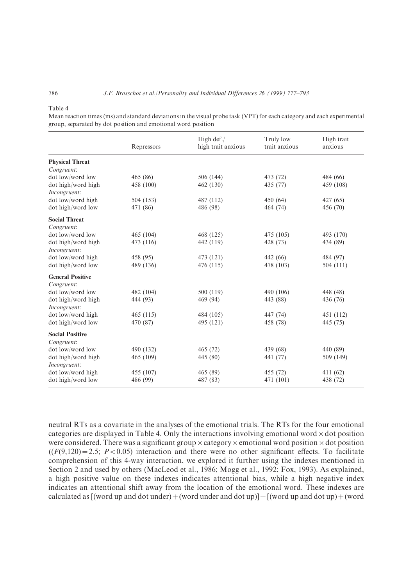#### Table 4

Mean reaction times (ms) and standard deviations in the visual probe task (VPT) for each category and each experimental group, separated by dot position and emotional word position

|                                       | Repressors | High def./<br>high trait anxious | Truly low<br>trait anxious | High trait<br>anxious |
|---------------------------------------|------------|----------------------------------|----------------------------|-----------------------|
| <b>Physical Threat</b><br>Congruent:  |            |                                  |                            |                       |
| dot low/word low                      | 465 (86)   | 506 (144)                        | 473 (72)                   | 484 (66)              |
| dot high/word high<br>Incongruent:    | 458 (100)  | 462 (130)                        | 435 (77)                   | 459 (108)             |
| dot low/word high                     | 504 (153)  | 487 (112)                        | 450 (64)                   | 427 (65)              |
| dot high/word low                     | 471 (86)   | 486 (98)                         | 464 (74)                   | 456 (70)              |
| <b>Social Threat</b><br>Congruent:    |            |                                  |                            |                       |
| dot low/word low                      | 465(104)   | 468 (125)                        | 475 (105)                  | 493 (170)             |
| dot high/word high<br>Incongruent:    | 473 (116)  | 442 (119)                        | 428 (73)                   | 434 (89)              |
| dot low/word high                     | 458 (95)   | 473 (121)                        | 442 (66)                   | 484 (97)              |
| dot high/word low                     | 489 (136)  | 476 (115)                        | 478 (103)                  | 504 (111)             |
| <b>General Positive</b><br>Congruent: |            |                                  |                            |                       |
| dot low/word low                      | 482 (104)  | 500 (119)                        | 490 (106)                  | 448 (48)              |
| dot high/word high<br>Incongruent:    | 444 (93)   | 469 (94)                         | 443 (88)                   | 436 (76)              |
| dot low/word high                     | 465(115)   | 484 (105)                        | 447 (74)                   | 451 (112)             |
| dot high/word low                     | 470 (87)   | 495 (121)                        | 458 (78)                   | 445 (75)              |
| <b>Social Positive</b><br>Congruent:  |            |                                  |                            |                       |
| dot low/word low                      | 490 (132)  | 465 (72)                         | 439 (68)                   | 440 (89)              |
| dot high/word high<br>Incongruent:    | 465 (109)  | 445 (80)                         | 441 (77)                   | 509 (149)             |
| dot low/word high                     | 455 (107)  | 465 (89)                         | 455 (72)                   | 411 (62)              |
| dot high/word low                     | 486 (99)   | 487 (83)                         | 471 (101)                  | 438 (72)              |

neutral RTs as a covariate in the analyses of the emotional trials. The RTs for the four emotional categories are displayed in Table 4. Only the interactions involving emotional word  $\times$  dot position were considered. There was a significant group  $\times$  category  $\times$  emotional word position  $\times$  dot position  $((F(9,120) = 2.5; P < 0.05)$  interaction and there were no other significant effects. To facilitate comprehension of this 4-way interaction, we explored it further using the indexes mentioned in Section 2 and used by others (MacLeod et al., 1986; Mogg et al., 1992; Fox, 1993). As explained, a high positive value on these indexes indicates attentional bias, while a high negative index indicates an attentional shift away from the location of the emotional word. These indexes are calculated as  $[$ (word up and dot under) + (word under and dot up) $]-$ [(word up and dot up) + (word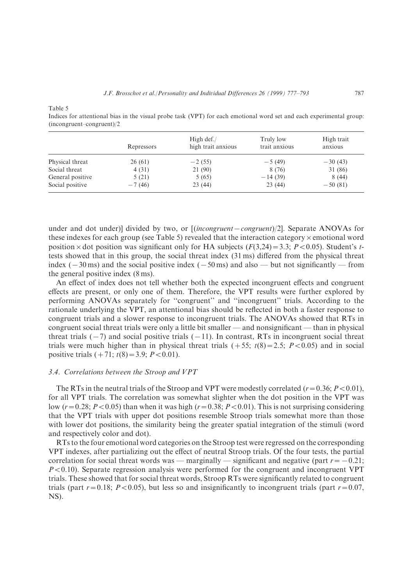Table 5

Indices for attentional bias in the visual probe task (VPT) for each emotional word set and each experimental group:  $(incongruent-congruent)/2$ 

|                  | Repressors | High $\det$ ./<br>high trait anxious | Truly low<br>trait anxious | High trait<br>anxious |
|------------------|------------|--------------------------------------|----------------------------|-----------------------|
| Physical threat  | 26(61)     | $-2(55)$                             | $-5(49)$                   | $-30(43)$             |
| Social threat    | 4(31)      | 21 (90)                              | 8 (76)                     | 31 (86)               |
| General positive | 5(21)      | 5(65)                                | $-14(39)$                  | 8(44)                 |
| Social positive  | $-7(46)$   | 23(44)                               | 23(44)                     | $-50(81)$             |

under and dot under)] divided by two, or  $[(incongruent–congruent)/2]$ . Separate ANOVAs for these indexes for each group (see Table 5) revealed that the interaction category  $\times$  emotional word position × dot position was significant only for HA subjects  $(F(3,24)=3.3; P<0.05)$ . Student's ttests showed that in this group, the social threat index  $(31 \text{ ms})$  differed from the physical threat index  $(-30 \text{ ms})$  and the social positive index  $(-50 \text{ ms})$  and also  $-$  but not significantly  $-$  from the general positive index  $(8 \text{ ms})$ .

An effect of index does not tell whether both the expected incongruent effects and congruent effects are present, or only one of them. Therefore, the VPT results were further explored by performing ANOVAs separately for "congruent" and "incongruent" trials. According to the rationale underlying the VPT, an attentional bias should be reflected in both a faster response to congruent trials and a slower response to incongruent trials. The ANOVAs showed that RTs in congruent social threat trials were only a little bit smaller  $-$  and nonsignificant  $-$  than in physical threat trials  $(-7)$  and social positive trials  $(-11)$ . In contrast, RTs in incongruent social threat trials were much higher than in physical threat trials  $(+55; t(8)=2.5; P<0.05)$  and in social positive trials  $(+71; t(8)=3.9; P<0.01)$ .

## 3.4. Correlations between the Stroop and VPT

The RTs in the neutral trials of the Stroop and VPT were modestly correlated  $(r=0.36; P<0.01)$ , for all VPT trials. The correlation was somewhat slighter when the dot position in the VPT was low  $(r=0.28; P<0.05)$  than when it was high  $(r=0.38; P<0.01)$ . This is not surprising considering that the VPT trials with upper dot positions resemble Stroop trials somewhat more than those with lower dot positions, the similarity being the greater spatial integration of the stimuli (word and respectively color and dot).

RTs to the four emotional word categories on the Stroop test were regressed on the corresponding VPT indexes, after partializing out the effect of neutral Stroop trials. Of the four tests, the partial correlation for social threat words was — marginally — significant and negative (part  $r = -0.21$ ;  $P < 0.10$ ). Separate regression analysis were performed for the congruent and incongruent VPT trials. These showed that for social threat words, Stroop RTs were significantly related to congruent trials (part  $r=0.18$ ;  $P<0.05$ ), but less so and insignificantly to incongruent trials (part  $r=0.07$ ,  $NS$ ).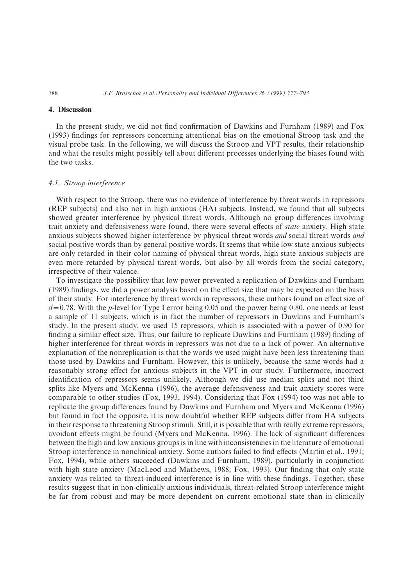## 4. Discussion

In the present study, we did not find confirmation of Dawkins and Furnham (1989) and Fox (1993) findings for repressors concerning attentional bias on the emotional Stroop task and the visual probe task. In the following, we will discuss the Stroop and VPT results, their relationship and what the results might possibly tell about different processes underlying the biases found with the two tasks.

#### 4.1. Stroop interference

With respect to the Stroop, there was no evidence of interference by threat words in repressors (REP subjects) and also not in high anxious (HA) subjects. Instead, we found that all subjects showed greater interference by physical threat words. Although no group differences involving trait anxiety and defensiveness were found, there were several effects of state anxiety. High state anxious subjects showed higher interference by physical threat words and social threat words and social positive words than by general positive words. It seems that while low state anxious subjects are only retarded in their color naming of physical threat words\ high state anxious subjects are even more retarded by physical threat words, but also by all words from the social category, irrespective of their valence.

To investigate the possibility that low power prevented a replication of Dawkins and Furnham  $(1989)$  findings, we did a power analysis based on the effect size that may be expected on the basis of their study. For interference by threat words in repressors, these authors found an effect size of  $d=0.78$ . With the p-level for Type I error being 0.05 and the power being 0.80, one needs at least a sample of 11 subjects, which is in fact the number of repressors in Dawkins and Furnham's study. In the present study, we used 15 repressors, which is associated with a power of  $0.90$  for finding a similar effect size. Thus, our failure to replicate Dawkins and Furnham (1989) finding of higher interference for threat words in repressors was not due to a lack of power. An alternative explanation of the nonreplication is that the words we used might have been less threatening than those used by Dawkins and Furnham. However, this is unlikely, because the same words had a reasonably strong effect for anxious subjects in the VPT in our study. Furthermore, incorrect identification of repressors seems unlikely. Although we did use median splits and not third splits like Myers and McKenna (1996), the average defensiveness and trait anxiety scores were comparable to other studies (Fox, 1993, 1994). Considering that Fox  $(1994)$  too was not able to replicate the group differences found by Dawkins and Furnham and Myers and McKenna (1996) but found in fact the opposite, it is now doubtful whether REP subjects differ from HA subjects in their response to threatening Stroop stimuli. Still, it is possible that with really extreme repressors, avoidant effects might be found (Myers and McKenna, 1996). The lack of significant differences between the high and low anxious groups is in line with inconsistencies in the literature of emotional Stroop interference in nonclinical anxiety. Some authors failed to find effects (Martin et al., 1991; Fox, 1994), while others succeeded (Dawkins and Furnham, 1989), particularly in conjunction with high state anxiety (MacLeod and Mathews, 1988; Fox, 1993). Our finding that only state anxiety was related to threat-induced interference is in line with these findings. Together, these results suggest that in non-clinically anxious individuals, threat-related Stroop interference might be far from robust and may be more dependent on current emotional state than in clinically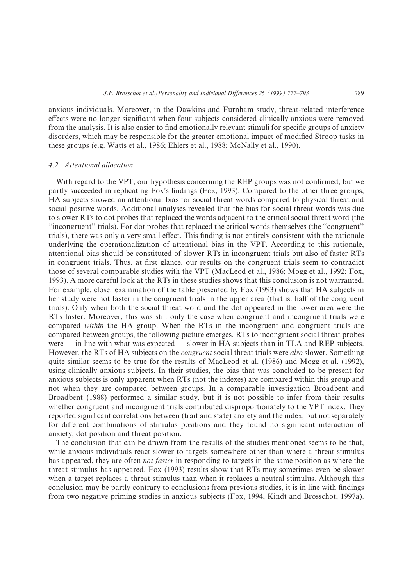anxious individuals. Moreover, in the Dawkins and Furnham study, threat-related interference effects were no longer significant when four subjects considered clinically anxious were removed from the analysis. It is also easier to find emotionally relevant stimuli for specific groups of anxiety disorders, which may be responsible for the greater emotional impact of modified Stroop tasks in these groups (e.g. Watts et al., 1986; Ehlers et al., 1988; McNally et al., 1990).

#### 4.2. Attentional allocation

With regard to the VPT, our hypothesis concerning the REP groups was not confirmed, but we partly succeeded in replicating Fox's findings (Fox, 1993). Compared to the other three groups, HA subjects showed an attentional bias for social threat words compared to physical threat and social positive words. Additional analyses revealed that the bias for social threat words was due to slower RTs to dot probes that replaced the words adjacent to the critical social threat word (the "incongruent" trials). For dot probes that replaced the critical words themselves (the "congruent" trials), there was only a very small effect. This finding is not entirely consistent with the rationale underlying the operationalization of attentional bias in the VPT. According to this rationale, attentional bias should be constituted of slower RTs in incongruent trials but also of faster RTs in congruent trials. Thus, at first glance, our results on the congruent trials seem to contradict those of several comparable studies with the VPT (MacLeod et al., 1986; Mogg et al., 1992; Fox, 1993). A more careful look at the RTs in these studies shows that this conclusion is not warranted. For example, closer examination of the table presented by Fox (1993) shows that HA subjects in her study were not faster in the congruent trials in the upper area (that is: half of the congruent trials). Only when both the social threat word and the dot appeared in the lower area were the RTs faster. Moreover, this was still only the case when congruent and incongruent trials were compared within the HA group. When the RTs in the incongruent and congruent trials are compared between groups, the following picture emerges. RTs to incongruent social threat probes were  $-$  in line with what was expected  $-$  slower in HA subjects than in TLA and REP subjects. However, the RTs of HA subjects on the *congruent* social threat trials were *also* slower. Something quite similar seems to be true for the results of MacLeod et al. (1986) and Mogg et al. (1992), using clinically anxious subjects. In their studies, the bias that was concluded to be present for anxious subjects is only apparent when RTs (not the indexes) are compared within this group and not when they are compared between groups. In a comparable investigation Broadbent and Broadbent (1988) performed a similar study, but it is not possible to infer from their results whether congruent and incongruent trials contributed disproportionately to the VPT index. They reported significant correlations between (trait and state) anxiety and the index, but not separately for different combinations of stimulus positions and they found no significant interaction of anxiety, dot position and threat position.

The conclusion that can be drawn from the results of the studies mentioned seems to be that, while anxious individuals react slower to targets somewhere other than where a threat stimulus has appeared, they are often *not faster* in responding to targets in the same position as where the threat stimulus has appeared. Fox (1993) results show that RTs may sometimes even be slower when a target replaces a threat stimulus than when it replaces a neutral stimulus. Although this conclusion may be partly contrary to conclusions from previous studies, it is in line with findings from two negative priming studies in anxious subjects  $(Fox, 1994; Kindt and Brosschot, 1997a)$ .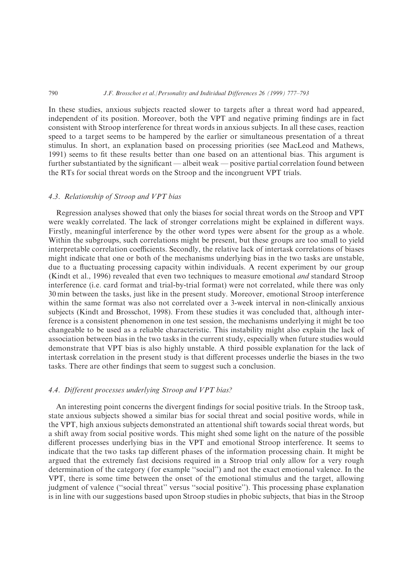In these studies, anxious subjects reacted slower to targets after a threat word had appeared, independent of its position. Moreover, both the VPT and negative priming findings are in fact consistent with Stroop interference for threat words in anxious subjects. In all these cases, reaction speed to a target seems to be hampered by the earlier or simultaneous presentation of a threat stimulus. In short, an explanation based on processing priorities (see MacLeod and Mathews, 1991) seems to fit these results better than one based on an attentional bias. This argument is further substantiated by the significant  $-$  albeit weak  $-$  positive partial correlation found between the RTs for social threat words on the Stroop and the incongruent VPT trials.

## 4.3. Relationship of Stroop and VPT bias

Regression analyses showed that only the biases for social threat words on the Stroop and VPT were weakly correlated. The lack of stronger correlations might be explained in different ways. Firstly, meaningful interference by the other word types were absent for the group as a whole. Within the subgroups, such correlations might be present, but these groups are too small to yield interpretable correlation coefficients. Secondly, the relative lack of intertask correlations of biases might indicate that one or both of the mechanisms underlying bias in the two tasks are unstable\ due to a fluctuating processing capacity within individuals. A recent experiment by our group (Kindt et al., 1996) revealed that even two techniques to measure emotional *and* standard Stroop interference (i.e. card format and trial-by-trial format) were not correlated, while there was only 30 min between the tasks, just like in the present study. Moreover, emotional Stroop interference within the same format was also not correlated over a 3-week interval in non-clinically anxious subjects (Kindt and Brosschot, 1998). From these studies it was concluded that, although interference is a consistent phenomenon in one test session, the mechanisms underlying it might be too changeable to be used as a reliable characteristic. This instability might also explain the lack of association between bias in the two tasks in the current study, especially when future studies would demonstrate that VPT bias is also highly unstable. A third possible explanation for the lack of intertask correlation in the present study is that different processes underlie the biases in the two tasks. There are other findings that seem to suggest such a conclusion.

#### 4.4. Different processes underlying Stroop and VPT bias?

An interesting point concerns the divergent findings for social positive trials. In the Stroop task, state anxious subjects showed a similar bias for social threat and social positive words\ while in the VPT, high anxious subjects demonstrated an attentional shift towards social threat words, but a shift away from social positive words. This might shed some light on the nature of the possible different processes underlying bias in the VPT and emotional Stroop interference. It seems to indicate that the two tasks tap different phases of the information processing chain. It might be argued that the extremely fast decisions required in a Stroop trial only allow for a very rough determination of the category (for example "social") and not the exact emotional valence. In the VPT, there is some time between the onset of the emotional stimulus and the target, allowing judgment of valence ("social threat" versus "social positive"). This processing phase explanation is in line with our suggestions based upon Stroop studies in phobic subjects\ that bias in the Stroop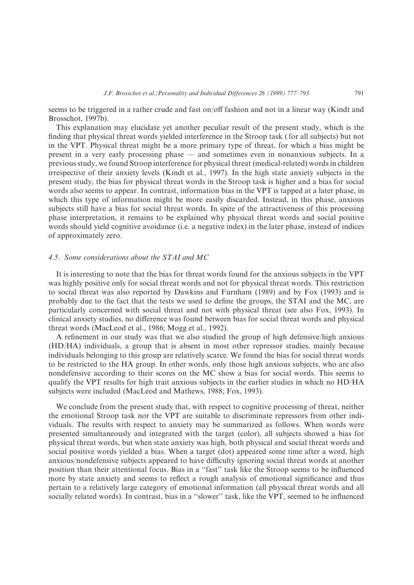seems to be triggered in a rather crude and fast on/off fashion and not in a linear way (Kindt and Brosschot,  $1997b$ .

This explanation may elucidate yet another peculiar result of the present study, which is the finding that physical threat words yielded interference in the Stroop task (for all subjects) but not in the VPT. Physical threat might be a more primary type of threat, for which a bias might be present in a very early processing phase  $-$  and sometimes even in nonanxious subjects. In a previous study, we found Stroop interference for physical threat (medical-related) words in children irrespective of their anxiety levels (Kindt et al., 1997). In the high state anxiety subjects in the present study\ the bias for physical threat words in the Stroop task is higher and a bias for social words also seems to appear. In contrast, information bias in the VPT is tapped at a later phase, in which this type of information might be more easily discarded. Instead, in this phase, anxious subjects still have a bias for social threat words. In spite of the attractiveness of this processing phase interpretation, it remains to be explained why physical threat words and social positive words should yield cognitive avoidance (i.e. a negative index) in the later phase, instead of indices of approximately zero.

#### 4.5. Some considerations about the STAI and MC

It is interesting to note that the bias for threat words found for the anxious subjects in the VPT was highly positive only for social threat words and not for physical threat words. This restriction to social threat was also reported by Dawkins and Furnham  $(1989)$  and by Fox  $(1993)$  and is probably due to the fact that the tests we used to define the groups, the STAI and the MC, are particularly concerned with social threat and not with physical threat (see also Fox, 1993). In clinical anxiety studies, no difference was found between bias for social threat words and physical threat words (MacLeod et al., 1986; Mogg et al., 1992).

A refinement in our study was that we also studied the group of high defensive/high anxious  $(HD/HA)$  individuals, a group that is absent in most other repressor studies, mainly because individuals belonging to this group are relatively scarce. We found the bias for social threat words to be restricted to the HA group. In other words, only those high anxious subjects, who are also nondefensive according to their scores on the MC show a bias for social words. This seems to qualify the VPT results for high trait anxious subjects in the earlier studies in which no  $HD/HA$ subjects were included (MacLeod and Mathews, 1988; Fox, 1993).

We conclude from the present study that, with respect to cognitive processing of threat, neither the emotional Stroop task nor the VPT are suitable to discriminate repressors from other individuals. The results with respect to anxiety may be summarized as follows. When words were presented simultaneously and integrated with the target (color), all subjects showed a bias for physical threat words\ but when state anxiety was high\ both physical and social threat words and social positive words yielded a bias. When a target (dot) appeared some time after a word, high anxious/nondefensive subjects appeared to have difficulty ignoring social threat words at another position than their attentional focus. Bias in a "fast" task like the Stroop seems to be influenced more by state anxiety and seems to reflect a rough analysis of emotional significance and thus pertain to a relatively large category of emotional information "all physical threat words and all socially related words). In contrast, bias in a "slower" task, like the VPT, seemed to be influenced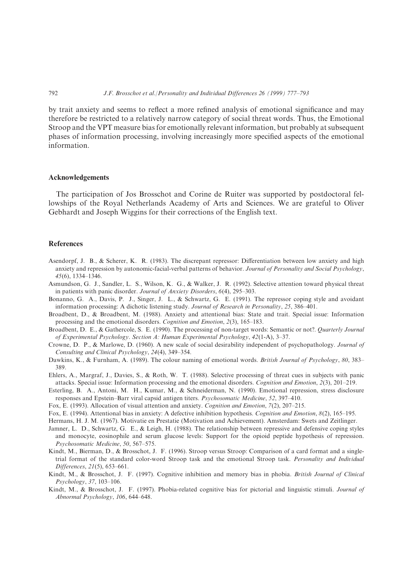by trait anxiety and seems to reflect a more refined analysis of emotional significance and may therefore be restricted to a relatively narrow category of social threat words[ Thus\ the Emotional Stroop and the VPT measure bias for emotionally relevant information, but probably at subsequent phases of information processing, involving increasingly more specified aspects of the emotional information.

#### Acknowledgements

The participation of Jos Brosschot and Corine de Ruiter was supported by postdoctoral fellowships of the Royal Netherlands Academy of Arts and Sciences. We are grateful to Oliver Gebhardt and Joseph Wiggins for their corrections of the English text.

### References

- Asendorpf, J. B., & Scherer, K. R. (1983). The discrepant repressor: Differentiation between low anxiety and high anxiety and repression by autonomic-facial-verbal patterns of behavior. Journal of Personality and Social Psychology,  $45(6)$ , 1334-1346.
- Asmundson, G. J., Sandler, L. S., Wilson, K. G., & Walker, J. R. (1992). Selective attention toward physical threat in patients with panic disorder. Journal of Anxiety Disorders,  $5(4)$ , 295–303.
- Bonanno, G. A., Davis, P. J., Singer, J. L., & Schwartz, G. E. (1991). The repressor coping style and avoidant information processing: A dichotic listening study. Journal of Research in Personality, 25, 386-401.
- Broadbent, D., & Broadbent, M. (1988). Anxiety and attentional bias: State and trait. Special issue: Information processing and the emotional disorders. *Cognition and Emotion*,  $2(3)$ ,  $165-183$ .
- Broadbent, D. E., & Gathercole, S. E. (1990). The processing of non-target words: Semantic or not?. *Quarterly Journal* of Experimental Psychology. Section A: Human Experimental Psychology,  $42(1-A)$ ,  $3-37$ .
- Crowne, D. P., & Marlowe, D. (1960). A new scale of social desirability independent of psychopathology. Journal of Consulting and Clinical Psychology,  $24(4)$ ,  $349-354$ .
- Dawkins, K., & Furnham, A. (1989). The colour naming of emotional words. British Journal of Psychology, 80, 383– 389.
- Ehlers, A., Margraf, J., Davies, S., & Roth, W. T. (1988). Selective processing of threat cues in subjects with panic attacks. Special issue: Information processing and the emotional disorders. Cognition and Emotion,  $2(3)$ ,  $201-219$ .
- Esterling, B. A., Antoni, M. H., Kumar, M., & Schneiderman, N. (1990). Emotional repression, stress disclosure responses and Epstein-Barr viral capsid antigen titers. Psychosomatic Medicine, 52, 397-410.
- Fox, E. (1993). Allocation of visual attention and anxiety. Cognition and Emotion,  $7(2)$ ,  $207-215$ .
- Fox, E. (1994). Attentional bias in anxiety: A defective inhibition hypothesis. Cognition and Emotion,  $8(2)$ , 165–195.
- Hermans, H. J. M. (1967). Motivatie en Prestatie (Motivation and Achievement). Amsterdam: Swets and Zeitlinger.
- Jamner, L. D., Schwartz, G. E., & Leigh, H. (1988). The relationship between repressive and defensive coping styles and monocyte, eosinophile and serum glucose levels: Support for the opioid peptide hypothesis of repression. Psychosomatic Medicine, 50, 567-575.
- Kindt, M., Bierman, D., & Brosschot, J. F. (1996). Stroop versus Stroop: Comparison of a card format and a singletrial format of the standard color-word Stroop task and the emotional Stroop task. Personality and Individual Differences,  $21(5)$ , 653-661.
- Kindt, M., & Brosschot, J. F. (1997). Cognitive inhibition and memory bias in phobia. British Journal of Clinical  $Psychology, 37, 103–106.$
- Kindt, M., & Brosschot, J. F. (1997). Phobia-related cognitive bias for pictorial and linguistic stimuli. Journal of Abnormal Psychology, 106, 644-648.